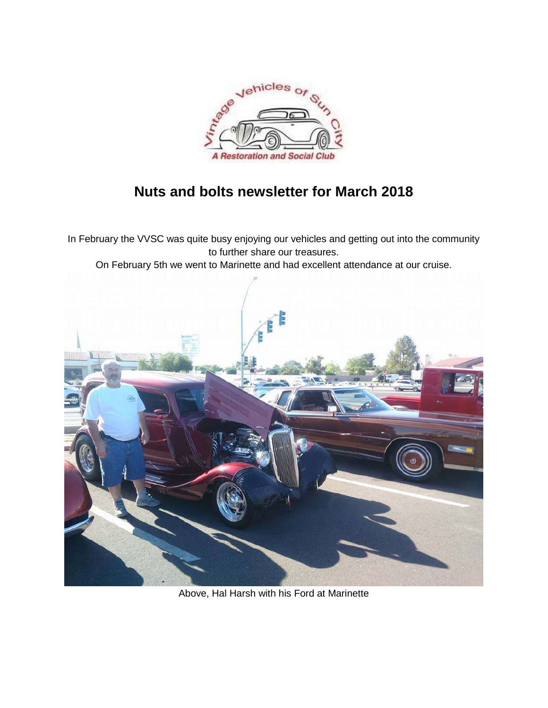

## **Nuts and bolts newsletter for March 2018**

In February the VVSC was quite busy enjoying our vehicles and getting out into the community to further share our treasures.

On February 5th we went to Marinette and had excellent attendance at our cruise.



Above, Hal Harsh with his Ford at Marinette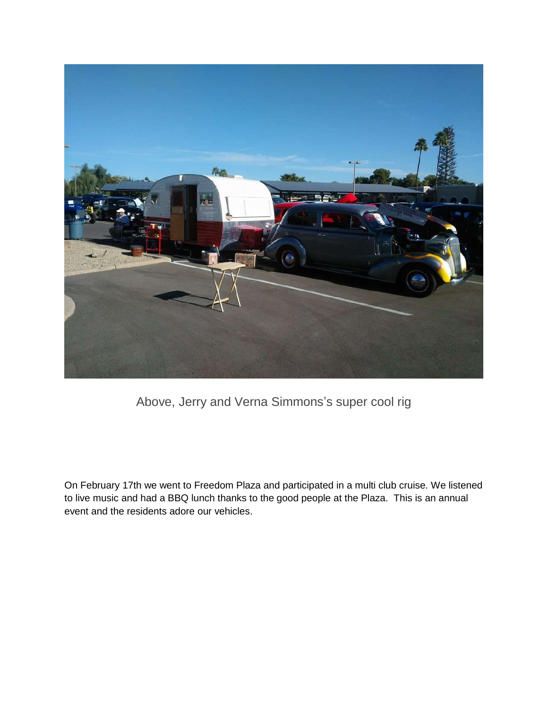

Above, Jerry and Verna Simmons's super cool rig

On February 17th we went to Freedom Plaza and participated in a multi club cruise. We listened to live music and had a BBQ lunch thanks to the good people at the Plaza. This is an annual event and the residents adore our vehicles.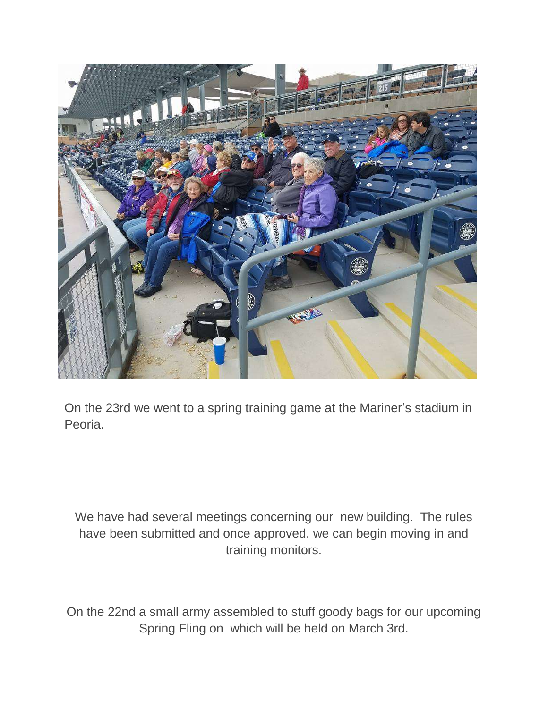

On the 23rd we went to a spring training game at the Mariner's stadium in Peoria.

We have had several meetings concerning our new building. The rules have been submitted and once approved, we can begin moving in and training monitors.

On the 22nd a small army assembled to stuff goody bags for our upcoming Spring Fling on which will be held on March 3rd.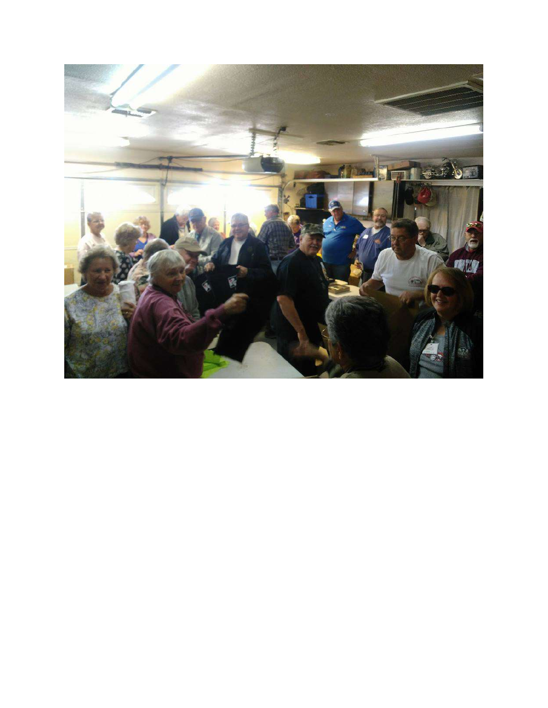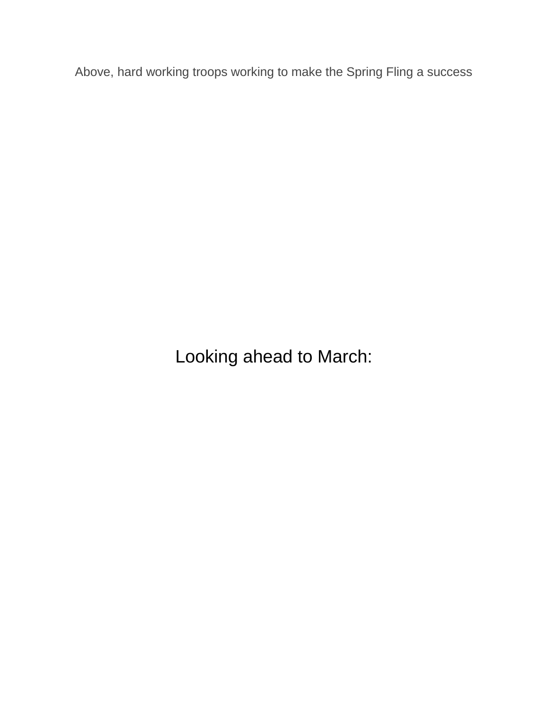Above, hard working troops working to make the Spring Fling a success

Looking ahead to March: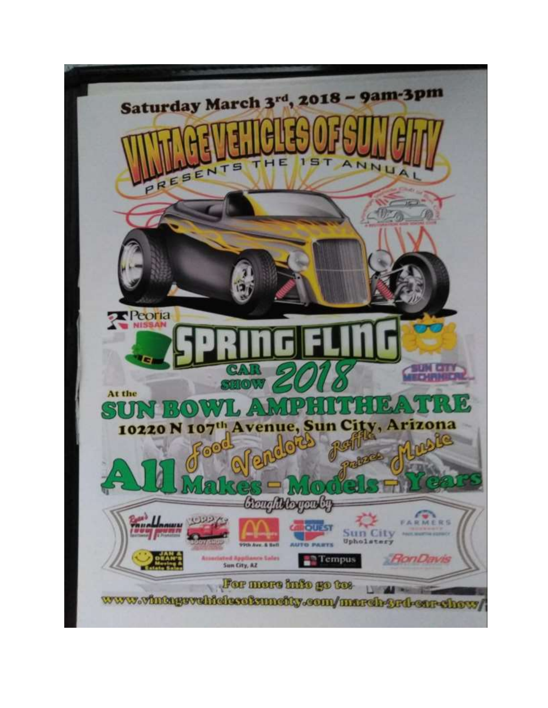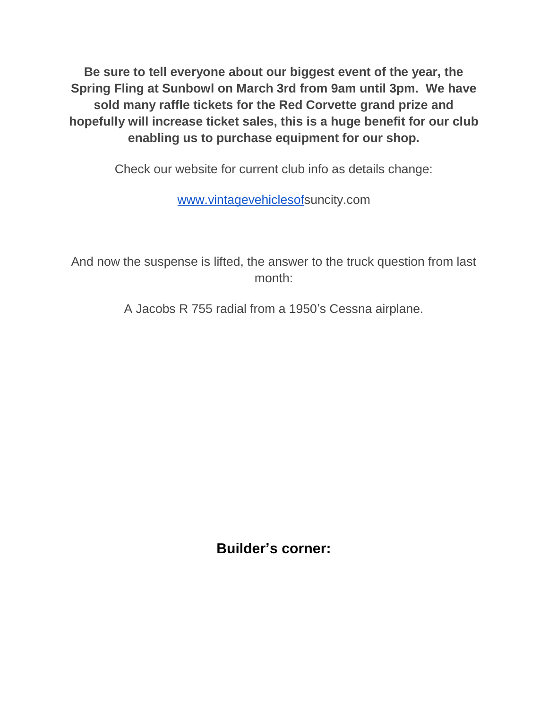**Be sure to tell everyone about our biggest event of the year, the Spring Fling at Sunbowl on March 3rd from 9am until 3pm. We have sold many raffle tickets for the Red Corvette grand prize and hopefully will increase ticket sales, this is a huge benefit for our club enabling us to purchase equipment for our shop.**

Check our website for current club info as details change:

[www.vintagevehiclesofs](www.vintagevehiclesof)uncity.com

And now the suspense is lifted, the answer to the truck question from last month:

A Jacobs R 755 radial from a 1950's Cessna airplane.

**Builder's corner:**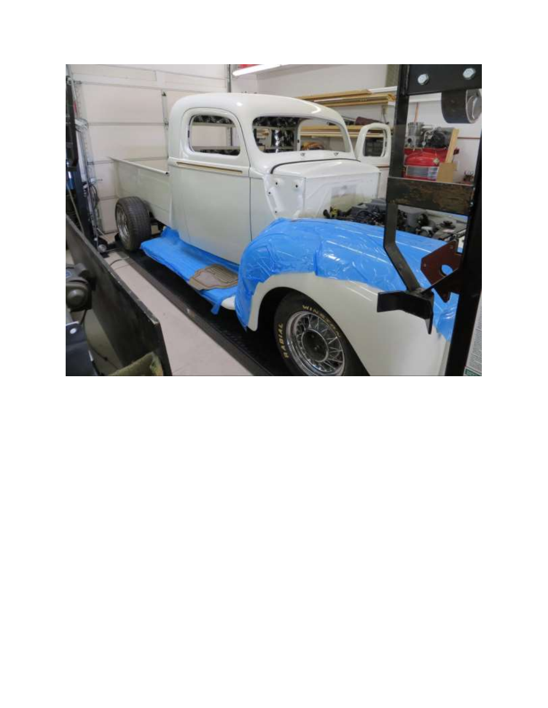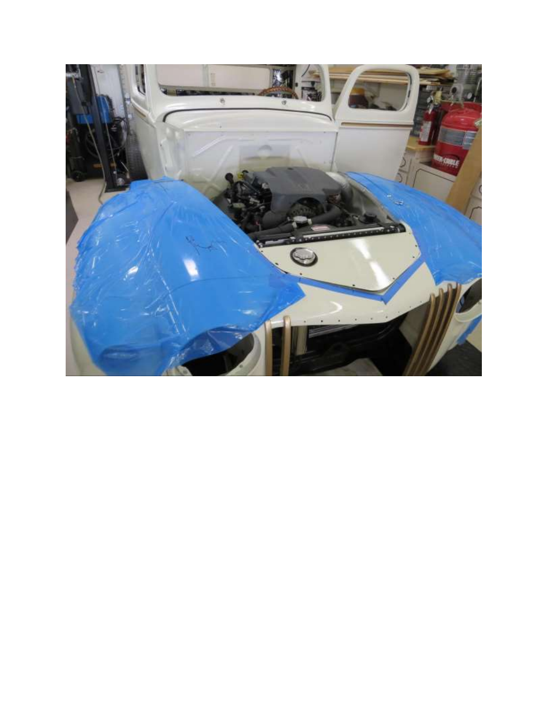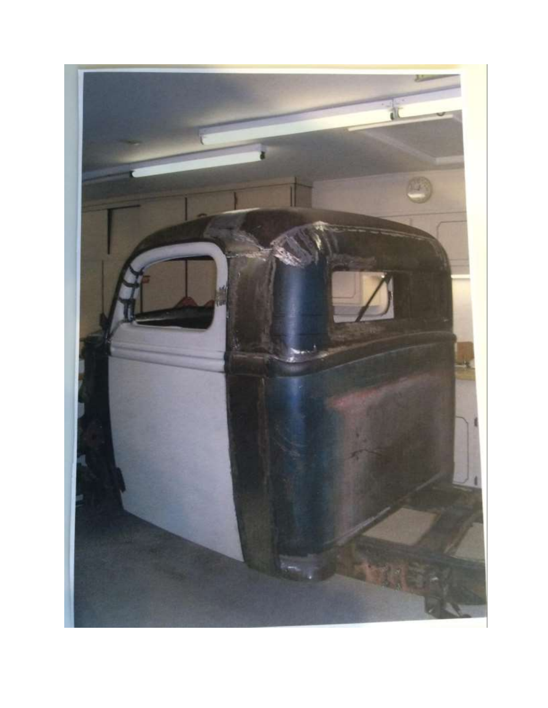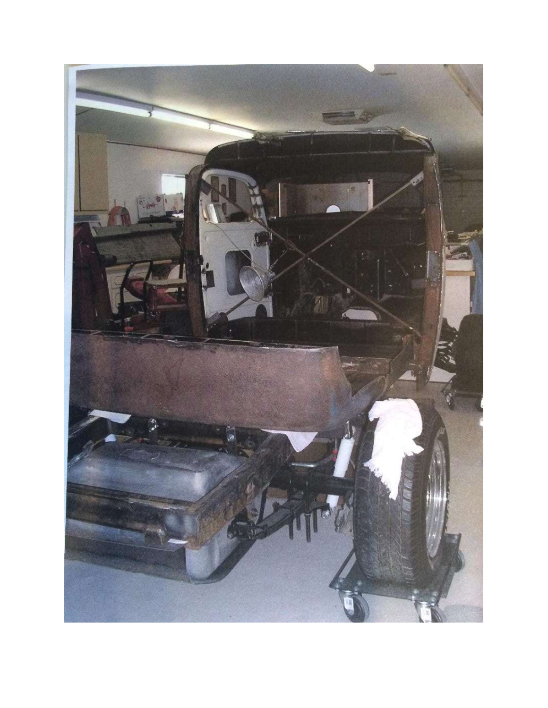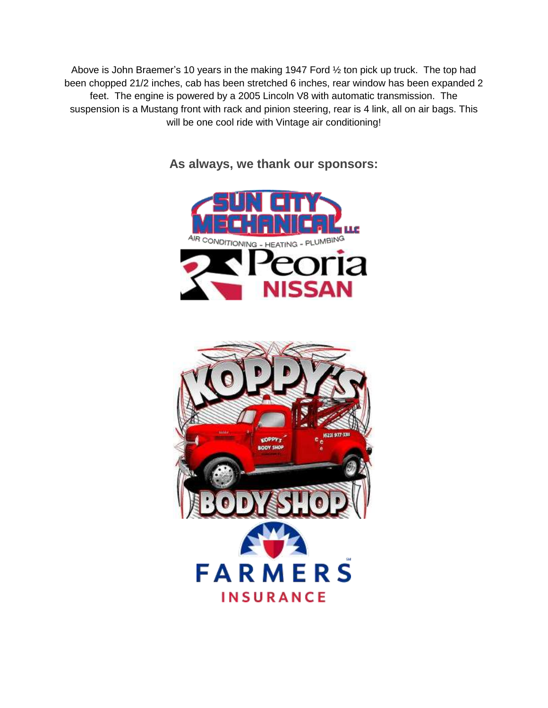Above is John Braemer's 10 years in the making 1947 Ford ½ ton pick up truck. The top had been chopped 21/2 inches, cab has been stretched 6 inches, rear window has been expanded 2 feet. The engine is powered by a 2005 Lincoln V8 with automatic transmission. The suspension is a Mustang front with rack and pinion steering, rear is 4 link, all on air bags. This will be one cool ride with Vintage air conditioning!

**As always, we thank our sponsors:**



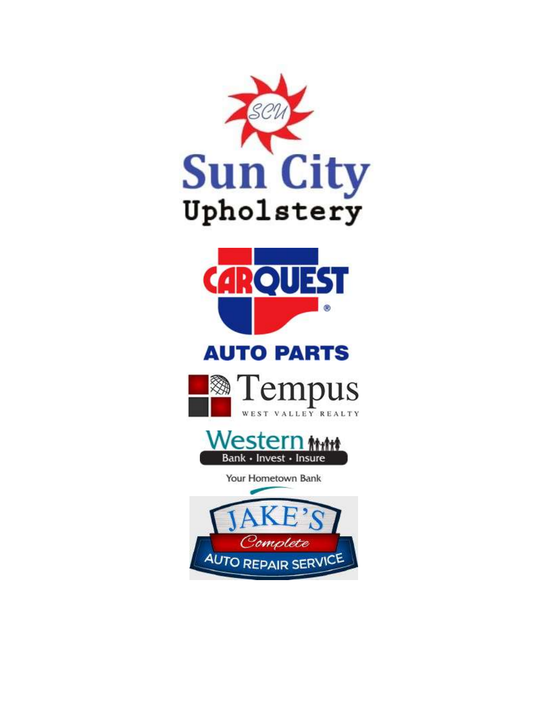



## **AUTO PARTS**





Your Hometown Bank